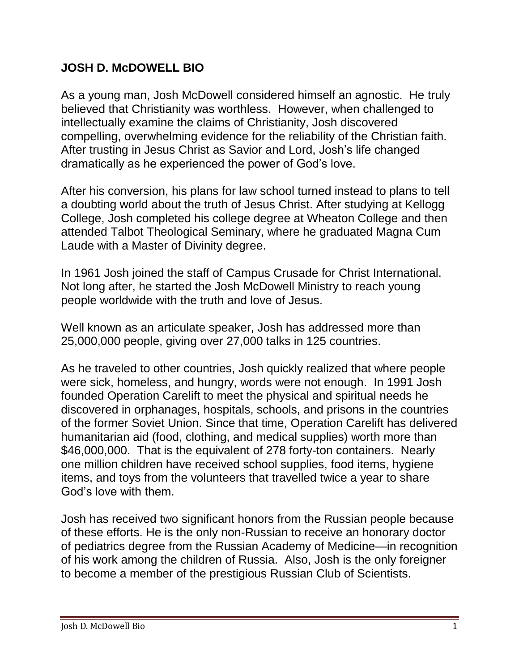## **JOSH D. McDOWELL BIO**

As a young man, Josh McDowell considered himself an agnostic. He truly believed that Christianity was worthless. However, when challenged to intellectually examine the claims of Christianity, Josh discovered compelling, overwhelming evidence for the reliability of the Christian faith. After trusting in Jesus Christ as Savior and Lord, Josh's life changed dramatically as he experienced the power of God's love.

After his conversion, his plans for law school turned instead to plans to tell a doubting world about the truth of Jesus Christ. After studying at Kellogg College, Josh completed his college degree at Wheaton College and then attended Talbot Theological Seminary, where he graduated Magna Cum Laude with a Master of Divinity degree.

In 1961 Josh joined the staff of Campus Crusade for Christ International. Not long after, he started the Josh McDowell Ministry to reach young people worldwide with the truth and love of Jesus.

Well known as an articulate speaker, Josh has addressed more than 25,000,000 people, giving over 27,000 talks in 125 countries.

As he traveled to other countries, Josh quickly realized that where people were sick, homeless, and hungry, words were not enough. In 1991 Josh founded Operation Carelift to meet the physical and spiritual needs he discovered in orphanages, hospitals, schools, and prisons in the countries of the former Soviet Union. Since that time, Operation Carelift has delivered humanitarian aid (food, clothing, and medical supplies) worth more than \$46,000,000. That is the equivalent of 278 forty-ton containers. Nearly one million children have received school supplies, food items, hygiene items, and toys from the volunteers that travelled twice a year to share God's love with them.

Josh has received two significant honors from the Russian people because of these efforts. He is the only non-Russian to receive an honorary doctor of pediatrics degree from the Russian Academy of Medicine—in recognition of his work among the children of Russia. Also, Josh is the only foreigner to become a member of the prestigious Russian Club of Scientists.